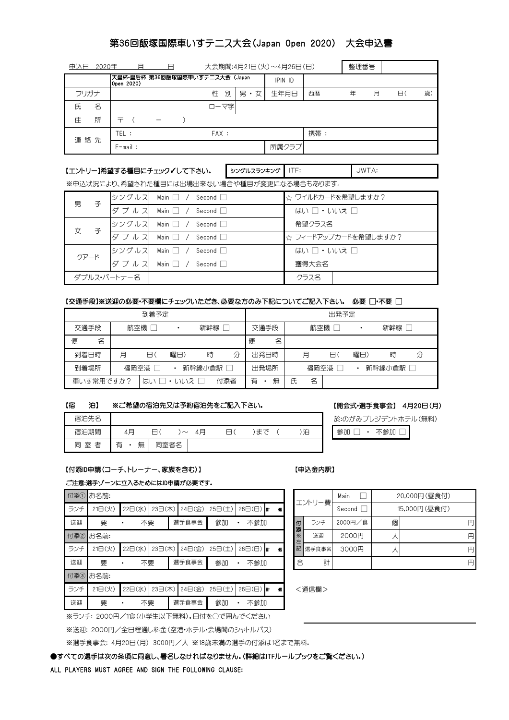# 第36回飯塚国際車いすテニス大会(Japan Open 2020) 大会申込書

|      | 大会期間:4月21日(火)~4月26日(日)<br>日<br>申认日<br>2020年<br>A |            |  |  |        |         |       | 整理番号 |   |   |   |   |
|------|--------------------------------------------------|------------|--|--|--------|---------|-------|------|---|---|---|---|
|      | 天皇杯·皇后杯 第36回飯塚国際車いすテニス大会 (Japan<br>Open 2020)    |            |  |  |        | IPIN ID |       |      |   |   |   |   |
| フリガナ |                                                  |            |  |  | 性<br>別 | 男・女     | 生年月日  | 西暦   | 年 | 月 | 8 | 歳 |
| 氏    | 名                                                |            |  |  | ローマ字   |         |       |      |   |   |   |   |
| 住    | 所                                                | 亍          |  |  |        |         |       |      |   |   |   |   |
| 連絡先  |                                                  | TEL :      |  |  | FAX:   |         |       | 携帯:  |   |   |   |   |
|      |                                                  | $E$ -mail: |  |  |        |         | 所属クラブ |      |   |   |   |   |

ITF:

### 【エントリー】希望する種目にチェック√して下さい。 ⇒シグルスランキング

JWTA:

※申込状況により、希望された種目には出場出来ない場合や種目が変更になる場合もあります。

| 男<br>子      |      | シングルス  Main □ / Second □    | ☆ ワイルドカードを希望しますか?    |
|-------------|------|-----------------------------|----------------------|
|             | ダブルス | Main $\Box$ / Second $\Box$ | はい □・いいえ □           |
| 子           |      | シングルス  Main □ / Second □    | 希望クラス名               |
|             | ダブルス | Main $\Box$ / Second $\Box$ | ☆ フィードアップカードを希望しますか? |
| クアード        |      | シングルス Main □ / Second □     | はい 口・いいえ 口           |
|             |      | ダブルス Main □ / Second □      | 獲得大会名                |
| ダブルス・パートナー名 |      |                             | クラス名                 |

#### 【交通手段】※送迎の必要・不要欄にチェックいただき、必要な方のみ下記についてご記入下さい。 必要 □・不要 □

|                          | 出発予定 |   |         |        |             |   |   |          |     |   |   |
|--------------------------|------|---|---------|--------|-------------|---|---|----------|-----|---|---|
| 交通手段                     | 航空機  |   |         | 新幹線    | 交通手段<br>航空機 |   |   | ٠        | 新幹線 |   |   |
| 名<br>便                   |      |   |         |        | 便<br>名      |   |   |          |     |   |   |
| 到着日時                     | 月    | 8 | 曜日)     | 分<br>時 | 出発日時        |   | 月 | 8        | 曜日) | 時 | 分 |
| 到着場所<br>新幹線小倉駅  <br>福岡空港 |      |   | 出発場所    |        | 福岡空港        |   |   | 新幹線小倉駅 厂 |     |   |   |
| 車いす常用ですか?                |      |   | はい□・いいえ | 付添者    | 無<br>有      | 氏 | 名 |          |     |   |   |

#### ※ご希望の宿泊先又は予約宿泊先をご記入下さい。 【宿 泊】

| 宿泊先名        |             |        |    |    |   |
|-------------|-------------|--------|----|----|---|
| 宿泊期間        | 4月          | $\sim$ | 4月 | まで | 泊 |
| 者<br>室<br>同 | 有<br>無<br>٠ | 同室者名   |    |    |   |

## 【開会式・選手食事会】 4月20日(月)

於:のがみプレジデントホテル(無料)

参加 □ · 不参加 □

## 【付添ID申請(コーチ、トレーナー、家族を含む)】 【申込金内訳】

### ご注意:選手ゾーンに立入るためにはID申請が必要です。

|     | 付添1 お名前: |         |        |        |        |                        |  |        |        | エントリー費  | Main    | 20,000円(昼食付) |   |   |
|-----|----------|---------|--------|--------|--------|------------------------|--|--------|--------|---------|---------|--------------|---|---|
| ランチ | 21日(火)   | 22日(水)  | 23日(木) | 24日(金) | 25日(土) | $26\Box$ ( $\Box$ ) at |  | 個      |        |         | Second  | 15,000円(昼食付) |   |   |
| 送迎  | 要        | 不要<br>٠ |        | 選手食事会  | 参加     | 不参加                    |  |        | 付<br>添 | ランチ     | 2000円/食 | 個            |   | 円 |
|     | 付添2 お名前: |         |        |        |        |                        |  | ⋇<br>左 | 送迎     | 2000円   |         |              | 円 |   |
| ランチ | 21日(火)   | 22日(水)  | 23日(木) | 24日(金) | 25日(土) | $26\Box$ ( $\Box$ ) at |  | 個      |        | 記 選手食事会 | 3000円   |              |   | 円 |
| 送迎  | 要        | 不要      |        | 選手食事会  | 参加     | 不参加                    |  |        | 合      | 計       |         |              |   | 円 |
|     | 付添3 お名前: |         |        |        |        |                        |  |        |        |         |         |              |   |   |
| ランチ | 21日(火)   | 22日(水)  | 23日(木) | 24日(金) | 25日(土) | $26\Box$ ( $\Box$ ) at |  | 個      |        | <通信欄>   |         |              |   |   |
| 送迎  | 要        | 不要<br>٠ |        | 選手食事会  | 参加     | 不参加                    |  |        |        |         |         |              |   |   |

|         |        |       | Main    | 20,000円(昼食付) |              |   |  |  |
|---------|--------|-------|---------|--------------|--------------|---|--|--|
| 個<br>g. | エントリー費 |       | Second  |              | 15,000円(昼食付) |   |  |  |
|         | 付添     | ランチ   | 2000円/食 | 個            |              | 円 |  |  |
|         | ☀<br>左 | 送迎    | 2000円   |              |              | 円 |  |  |
| Ħ.<br>個 | 記      | 選手食事会 | 3000円   |              |              | 円 |  |  |
|         | 合      | 計     |         |              |              | 円 |  |  |
|         |        |       |         |              |              |   |  |  |

※ランチ: 2000円/1食(小学生以下無料)。日付を○で囲んでください

※送迎: 2000円/全日程通し料金(空港・ホテル・会場間のシャトルバス)

※選手食事会: 4月20日(月) 3000円/人 ※18歳未満の選手の付添は1名まで無料。

**●すべての選手は次の条項に同意し、署名しなければなりません。(詳細はITFルールブックをご覧ください。)** 

#### ALL PLAYERS MUST AGREE AND SIGN THE FOLLOWING CLAUSE: